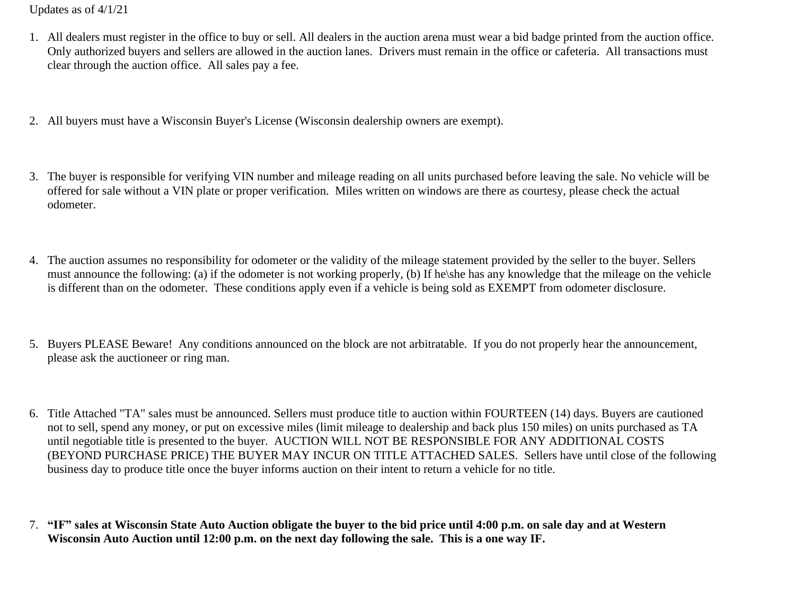Updates as of 4/1/21

- 1. All dealers must register in the office to buy or sell. All dealers in the auction arena must wear a bid badge printed from the auction office. Only authorized buyers and sellers are allowed in the auction lanes. Drivers must remain in the office or cafeteria. All transactions must clear through the auction office. All sales pay a fee.
- 2. All buyers must have a Wisconsin Buyer's License (Wisconsin dealership owners are exempt).
- 3. The buyer is responsible for verifying VIN number and mileage reading on all units purchased before leaving the sale. No vehicle will be offered for sale without a VIN plate or proper verification. Miles written on windows are there as courtesy, please check the actual odometer.
- 4. The auction assumes no responsibility for odometer or the validity of the mileage statement provided by the seller to the buyer. Sellers must announce the following: (a) if the odometer is not working properly, (b) If he\she has any knowledge that the mileage on the vehicle is different than on the odometer. These conditions apply even if a vehicle is being sold as EXEMPT from odometer disclosure.
- 5. Buyers PLEASE Beware! Any conditions announced on the block are not arbitratable. If you do not properly hear the announcement, please ask the auctioneer or ring man.
- 6. Title Attached "TA" sales must be announced. Sellers must produce title to auction within FOURTEEN (14) days. Buyers are cautioned not to sell, spend any money, or put on excessive miles (limit mileage to dealership and back plus 150 miles) on units purchased as TA until negotiable title is presented to the buyer. AUCTION WILL NOT BE RESPONSIBLE FOR ANY ADDITIONAL COSTS (BEYOND PURCHASE PRICE) THE BUYER MAY INCUR ON TITLE ATTACHED SALES. Sellers have until close of the following business day to produce title once the buyer informs auction on their intent to return a vehicle for no title.
- 7. **"IF" sales at Wisconsin State Auto Auction obligate the buyer to the bid price until 4:00 p.m. on sale day and at Western Wisconsin Auto Auction until 12:00 p.m. on the next day following the sale. This is a one way IF.**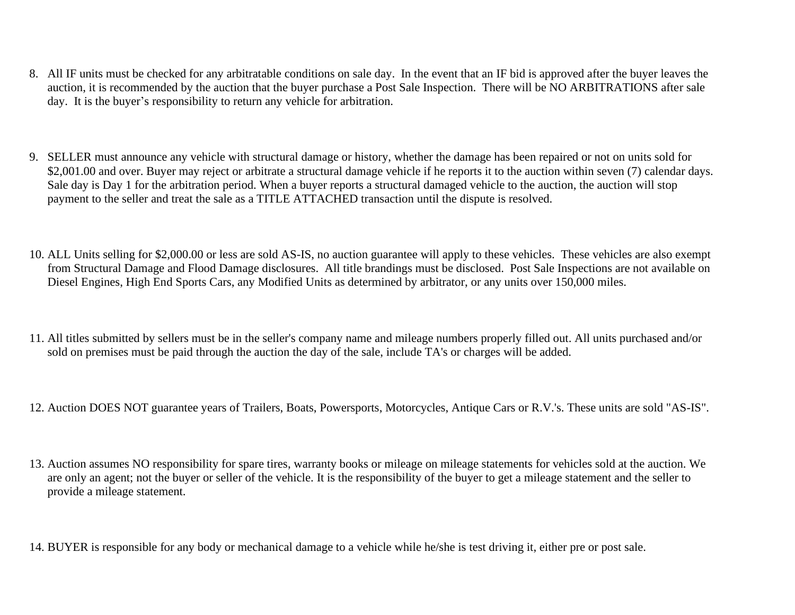- 8. All IF units must be checked for any arbitratable conditions on sale day. In the event that an IF bid is approved after the buyer leaves the auction, it is recommended by the auction that the buyer purchase a Post Sale Inspection. There will be NO ARBITRATIONS after sale day. It is the buyer's responsibility to return any vehicle for arbitration.
- 9. SELLER must announce any vehicle with structural damage or history, whether the damage has been repaired or not on units sold for \$2,001.00 and over. Buyer may reject or arbitrate a structural damage vehicle if he reports it to the auction within seven (7) calendar days. Sale day is Day 1 for the arbitration period. When a buyer reports a structural damaged vehicle to the auction, the auction will stop payment to the seller and treat the sale as a TITLE ATTACHED transaction until the dispute is resolved.
- 10. ALL Units selling for \$2,000.00 or less are sold AS-IS, no auction guarantee will apply to these vehicles. These vehicles are also exempt from Structural Damage and Flood Damage disclosures. All title brandings must be disclosed. Post Sale Inspections are not available on Diesel Engines, High End Sports Cars, any Modified Units as determined by arbitrator, or any units over 150,000 miles.
- 11. All titles submitted by sellers must be in the seller's company name and mileage numbers properly filled out. All units purchased and/or sold on premises must be paid through the auction the day of the sale, include TA's or charges will be added.
- 12. Auction DOES NOT guarantee years of Trailers, Boats, Powersports, Motorcycles, Antique Cars or R.V.'s. These units are sold "AS-IS".
- 13. Auction assumes NO responsibility for spare tires, warranty books or mileage on mileage statements for vehicles sold at the auction. We are only an agent; not the buyer or seller of the vehicle. It is the responsibility of the buyer to get a mileage statement and the seller to provide a mileage statement.
- 14. BUYER is responsible for any body or mechanical damage to a vehicle while he/she is test driving it, either pre or post sale.